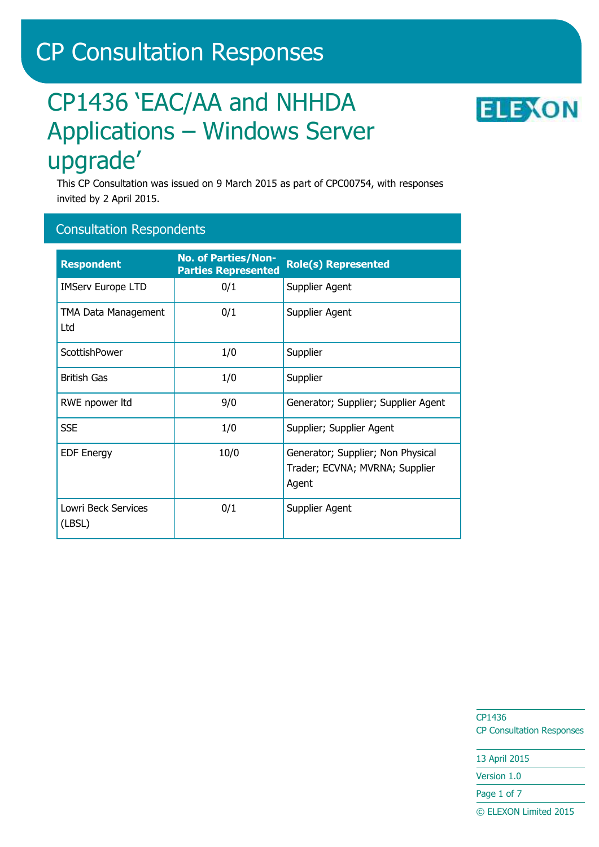# CP Consultation Responses

# CP1436 'EAC/AA and NHHDA Applications – Windows Server upgrade'

**ELEXON** 

This CP Consultation was issued on 9 March 2015 as part of CPC00754, with responses invited by 2 April 2015.

## Consultation Respondents

| <b>Respondent</b>                 | <b>No. of Parties/Non-</b><br><b>Parties Represented</b> | <b>Role(s) Represented</b>                                                   |
|-----------------------------------|----------------------------------------------------------|------------------------------------------------------------------------------|
| <b>IMServ Europe LTD</b>          | 0/1                                                      | Supplier Agent                                                               |
| <b>TMA Data Management</b><br>Ltd | 0/1                                                      | Supplier Agent                                                               |
| ScottishPower                     | 1/0                                                      | Supplier                                                                     |
| <b>British Gas</b>                | 1/0                                                      | Supplier                                                                     |
| RWE npower ltd                    | 9/0                                                      | Generator; Supplier; Supplier Agent                                          |
| <b>SSE</b>                        | 1/0                                                      | Supplier; Supplier Agent                                                     |
| <b>EDF Energy</b>                 | 10/0                                                     | Generator; Supplier; Non Physical<br>Trader; ECVNA; MVRNA; Supplier<br>Agent |
| Lowri Beck Services<br>(LBSL)     | 0/1                                                      | Supplier Agent                                                               |

CP1436 CP Consultation Responses

13 April 2015 Version 1.0

Page 1 of 7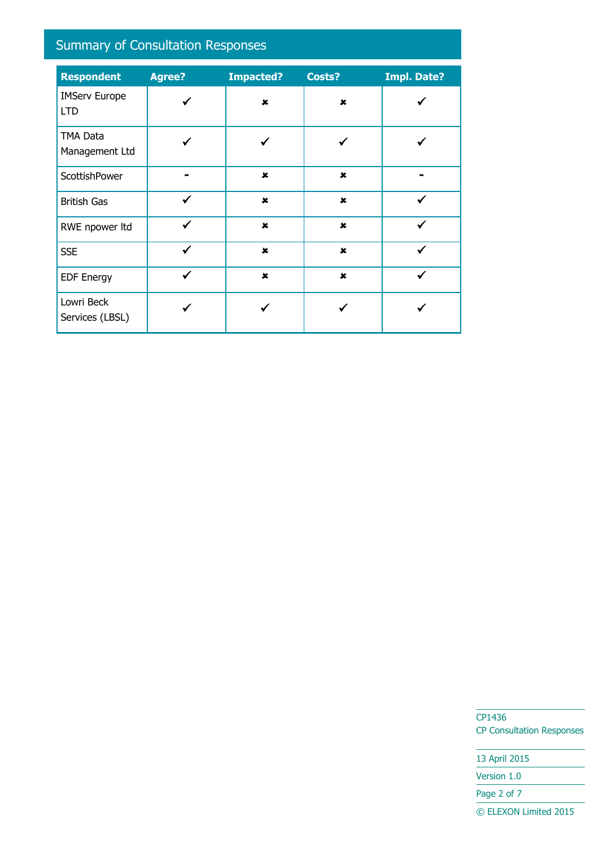# Summary of Consultation Responses

| <b>Respondent</b>                  | <b>Agree?</b> | <b>Impacted?</b> | Costs?         | <b>Impl. Date?</b> |
|------------------------------------|---------------|------------------|----------------|--------------------|
| <b>IMServ Europe</b><br><b>LTD</b> |               | $\mathbf x$      | $\mathbf x$    |                    |
| <b>TMA Data</b><br>Management Ltd  |               |                  |                |                    |
| ScottishPower                      |               | $\mathbf x$      | $\pmb{\times}$ |                    |
| <b>British Gas</b>                 | ✓             | $\pmb{\times}$   | $\pmb{x}$      |                    |
| RWE npower ltd                     | $\checkmark$  | $\mathbf x$      | $\pmb{\times}$ | ✓                  |
| <b>SSE</b>                         | ✔             | $\mathbf x$      | $\pmb{\times}$ |                    |
| <b>EDF Energy</b>                  | ✔             | $\mathbf x$      | $\mathbf x$    |                    |
| Lowri Beck<br>Services (LBSL)      |               |                  |                |                    |

CP1436 CP Consultation Responses

13 April 2015 Version 1.0 Page 2 of 7 © ELEXON Limited 2015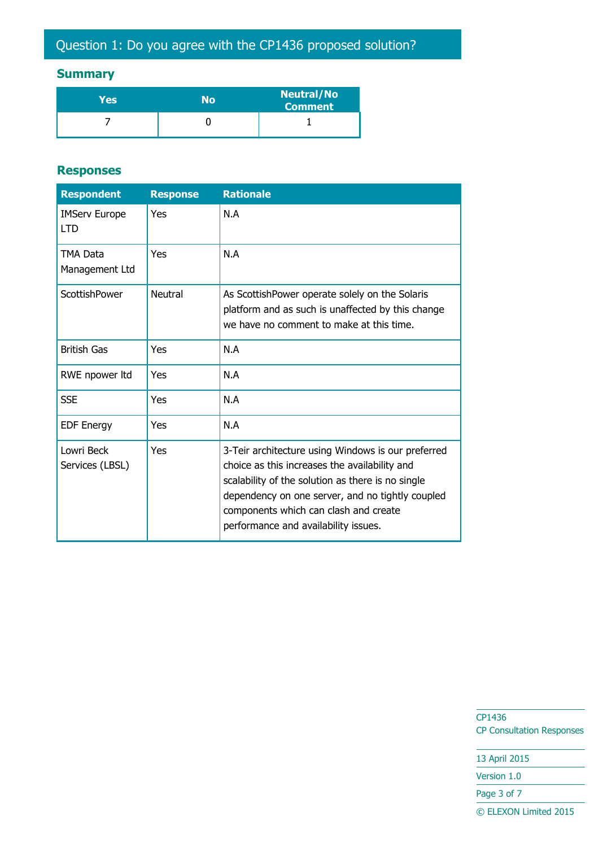# **Summary**

| Yes | No | <b>Neutral/No</b><br><b>Comment</b> |
|-----|----|-------------------------------------|
|     |    |                                     |

#### **Responses**

| <b>Respondent</b>                  | <b>Response</b> | <b>Rationale</b>                                                                                                                                                                                                                                                                              |
|------------------------------------|-----------------|-----------------------------------------------------------------------------------------------------------------------------------------------------------------------------------------------------------------------------------------------------------------------------------------------|
| <b>IMServ Europe</b><br><b>LTD</b> | Yes             | N.A                                                                                                                                                                                                                                                                                           |
| TMA Data<br>Management Ltd         | Yes             | N.A                                                                                                                                                                                                                                                                                           |
| ScottishPower                      | Neutral         | As ScottishPower operate solely on the Solaris<br>platform and as such is unaffected by this change<br>we have no comment to make at this time.                                                                                                                                               |
| <b>British Gas</b>                 | Yes             | N.A                                                                                                                                                                                                                                                                                           |
| RWE npower ltd                     | Yes             | N.A                                                                                                                                                                                                                                                                                           |
| <b>SSE</b>                         | Yes             | N.A                                                                                                                                                                                                                                                                                           |
| <b>EDF Energy</b>                  | Yes             | N.A                                                                                                                                                                                                                                                                                           |
| Lowri Beck<br>Services (LBSL)      | Yes             | 3-Teir architecture using Windows is our preferred<br>choice as this increases the availability and<br>scalability of the solution as there is no single<br>dependency on one server, and no tightly coupled<br>components which can clash and create<br>performance and availability issues. |

CP1436 CP Consultation Responses

13 April 2015

Version 1.0

Page 3 of 7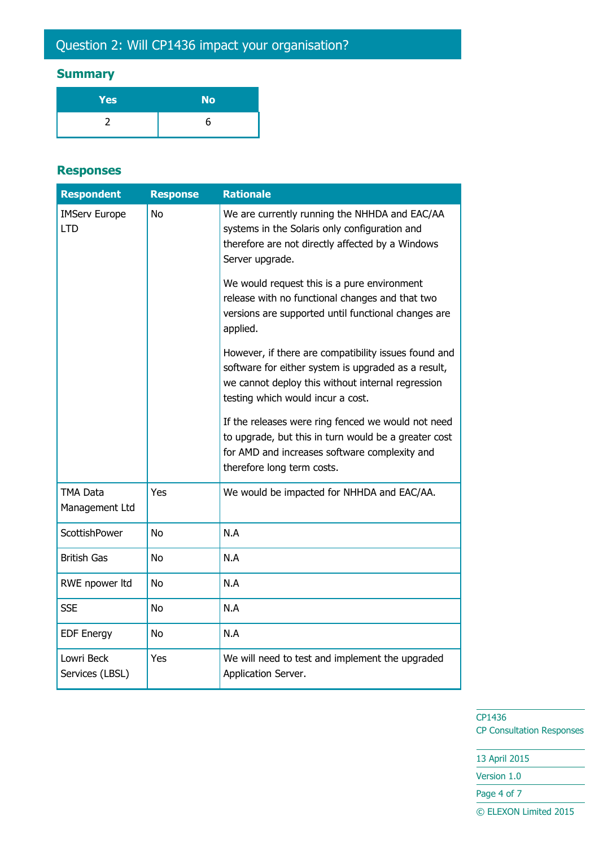# Question 2: Will CP1436 impact your organisation?

# **Summary**

| Yes | <b>No</b> |
|-----|-----------|
|     |           |

#### **Responses**

| <b>Respondent</b>                  | <b>Response</b> | <b>Rationale</b>                                                                                                                                                                                      |
|------------------------------------|-----------------|-------------------------------------------------------------------------------------------------------------------------------------------------------------------------------------------------------|
| <b>IMServ Europe</b><br><b>LTD</b> | <b>No</b>       | We are currently running the NHHDA and EAC/AA<br>systems in the Solaris only configuration and<br>therefore are not directly affected by a Windows<br>Server upgrade.                                 |
|                                    |                 | We would request this is a pure environment<br>release with no functional changes and that two<br>versions are supported until functional changes are<br>applied.                                     |
|                                    |                 | However, if there are compatibility issues found and<br>software for either system is upgraded as a result,<br>we cannot deploy this without internal regression<br>testing which would incur a cost. |
|                                    |                 | If the releases were ring fenced we would not need<br>to upgrade, but this in turn would be a greater cost<br>for AMD and increases software complexity and<br>therefore long term costs.             |
| TMA Data<br>Management Ltd         | Yes             | We would be impacted for NHHDA and EAC/AA.                                                                                                                                                            |
| <b>ScottishPower</b>               | <b>No</b>       | N.A                                                                                                                                                                                                   |
| <b>British Gas</b>                 | <b>No</b>       | N.A                                                                                                                                                                                                   |
| RWE npower ltd                     | <b>No</b>       | N.A                                                                                                                                                                                                   |
| <b>SSE</b>                         | <b>No</b>       | N.A                                                                                                                                                                                                   |
| <b>EDF Energy</b>                  | <b>No</b>       | N.A                                                                                                                                                                                                   |
| Lowri Beck<br>Services (LBSL)      | Yes             | We will need to test and implement the upgraded<br>Application Server.                                                                                                                                |

CP1436 CP Consultation Responses

13 April 2015 Version 1.0 Page 4 of 7 © ELEXON Limited 2015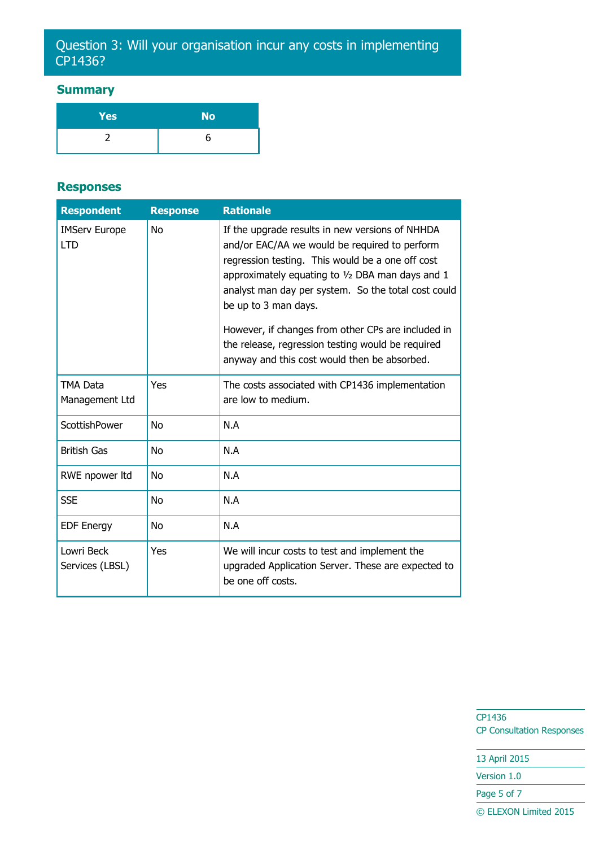## Question 3: Will your organisation incur any costs in implementing CP1436?

### **Summary**

| <b>Yes</b> | <b>No</b> |
|------------|-----------|
|            |           |

#### **Responses**

| <b>Respondent</b>                  | <b>Response</b> | <b>Rationale</b>                                                                                                                                                                                                                                                                                                                                                                                                                                     |
|------------------------------------|-----------------|------------------------------------------------------------------------------------------------------------------------------------------------------------------------------------------------------------------------------------------------------------------------------------------------------------------------------------------------------------------------------------------------------------------------------------------------------|
| <b>IMServ Europe</b><br><b>LTD</b> | <b>No</b>       | If the upgrade results in new versions of NHHDA<br>and/or EAC/AA we would be required to perform<br>regression testing. This would be a one off cost<br>approximately equating to $1/2$ DBA man days and 1<br>analyst man day per system. So the total cost could<br>be up to 3 man days.<br>However, if changes from other CPs are included in<br>the release, regression testing would be required<br>anyway and this cost would then be absorbed. |
| TMA Data<br>Management Ltd         | Yes             | The costs associated with CP1436 implementation<br>are low to medium.                                                                                                                                                                                                                                                                                                                                                                                |
| ScottishPower                      | <b>No</b>       | N.A                                                                                                                                                                                                                                                                                                                                                                                                                                                  |
| <b>British Gas</b>                 | <b>No</b>       | N.A                                                                                                                                                                                                                                                                                                                                                                                                                                                  |
| RWE npower ltd                     | No              | N.A                                                                                                                                                                                                                                                                                                                                                                                                                                                  |
| <b>SSE</b>                         | <b>No</b>       | N.A                                                                                                                                                                                                                                                                                                                                                                                                                                                  |
| <b>EDF Energy</b>                  | N <sub>0</sub>  | N.A                                                                                                                                                                                                                                                                                                                                                                                                                                                  |
| Lowri Beck<br>Services (LBSL)      | Yes             | We will incur costs to test and implement the<br>upgraded Application Server. These are expected to<br>be one off costs.                                                                                                                                                                                                                                                                                                                             |

CP1436 CP Consultation Responses

13 April 2015

Version 1.0

Page 5 of 7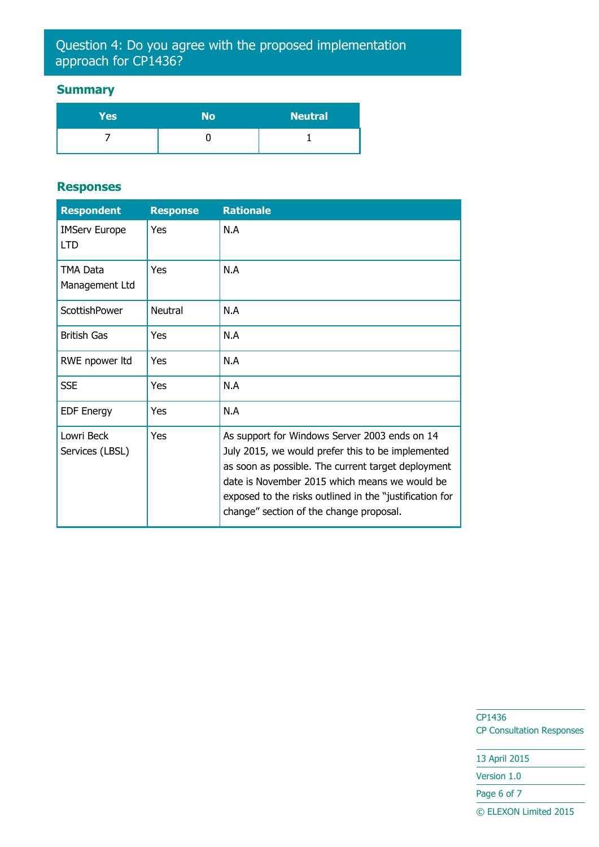## Question 4: Do you agree with the proposed implementation approach for CP1436?

### **Summary**

| Yes | No | <b>Neutral</b> |
|-----|----|----------------|
|     |    |                |

#### **Responses**

| <b>Respondent</b>                  | <b>Response</b> | <b>Rationale</b>                                                                                                                                                                                                                                                                                                |
|------------------------------------|-----------------|-----------------------------------------------------------------------------------------------------------------------------------------------------------------------------------------------------------------------------------------------------------------------------------------------------------------|
| <b>IMServ Europe</b><br><b>LTD</b> | Yes             | N.A                                                                                                                                                                                                                                                                                                             |
| TMA Data<br>Management Ltd         | Yes             | N.A                                                                                                                                                                                                                                                                                                             |
| ScottishPower                      | <b>Neutral</b>  | N.A                                                                                                                                                                                                                                                                                                             |
| British Gas                        | Yes             | N.A                                                                                                                                                                                                                                                                                                             |
| RWE npower Itd                     | Yes             | N.A                                                                                                                                                                                                                                                                                                             |
| <b>SSE</b>                         | Yes             | N.A                                                                                                                                                                                                                                                                                                             |
| <b>EDF Energy</b>                  | Yes             | N.A                                                                                                                                                                                                                                                                                                             |
| Lowri Beck<br>Services (LBSL)      | Yes             | As support for Windows Server 2003 ends on 14<br>July 2015, we would prefer this to be implemented<br>as soon as possible. The current target deployment<br>date is November 2015 which means we would be<br>exposed to the risks outlined in the "justification for<br>change" section of the change proposal. |

CP1436 CP Consultation Responses

13 April 2015 Version 1.0 Page 6 of 7